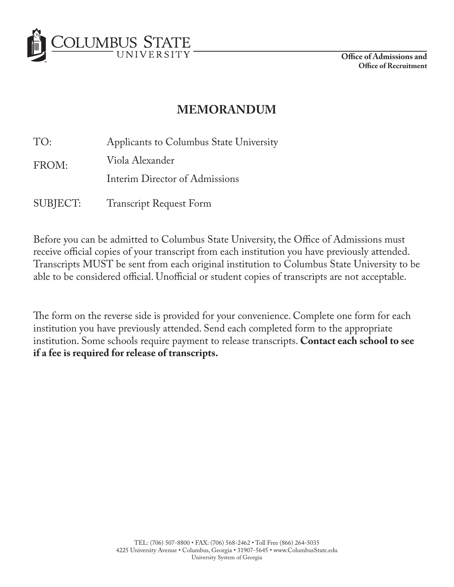

**Office of Admissions and Office of Recruitment**

## **MEMORANDUM**

TO: Applicants to Columbus State University

FROM: Viola Alexander

Interim Director of Admissions

SUBJECT: Transcript Request Form

Before you can be admitted to Columbus State University, the Office of Admissions must receive official copies of your transcript from each institution you have previously attended. Transcripts MUST be sent from each original institution to Columbus State University to be able to be considered official. Unofficial or student copies of transcripts are not acceptable.

The form on the reverse side is provided for your convenience. Complete one form for each institution you have previously attended. Send each completed form to the appropriate institution. Some schools require payment to release transcripts. **Contact each school to see if a fee is required for release of transcripts.**